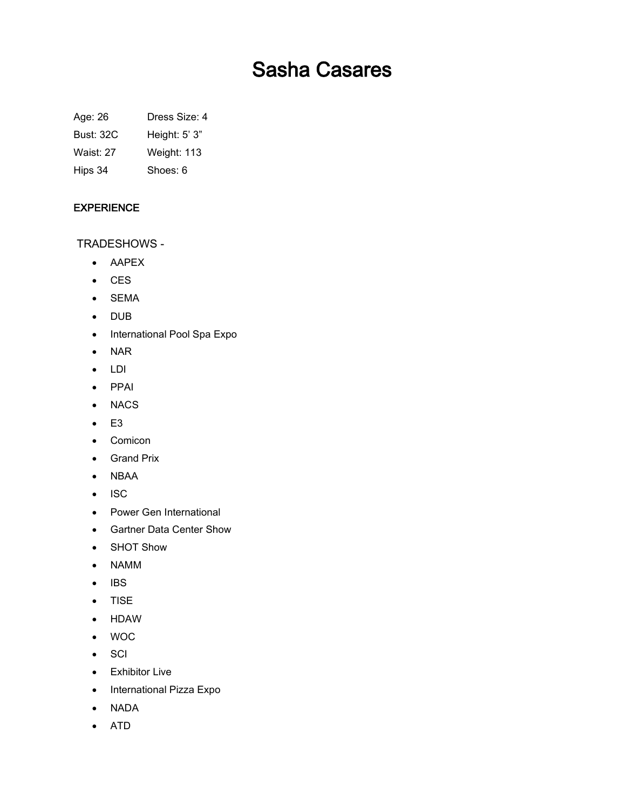# Sasha Casares

Age: 26 Dress Size: 4

Bust: 32C Height: 5' 3"

Waist: 27 Weight: 113

Hips 34 Shoes: 6

## EXPERIENCE

TRADESHOWS -

- AAPEX
- CES
- SEMA
- DUB
- International Pool Spa Expo
- NAR
- LDI
- PPAI
- NACS
- $\bullet$  E3
- Comicon
- Grand Prix
- NBAA
- $\bullet$  ISC
- Power Gen International
- Gartner Data Center Show
- SHOT Show
- NAMM
- $\bullet$  IBS
- TISE
- HDAW
- WOC
- SCI
- Exhibitor Live
- International Pizza Expo
- NADA
- ATD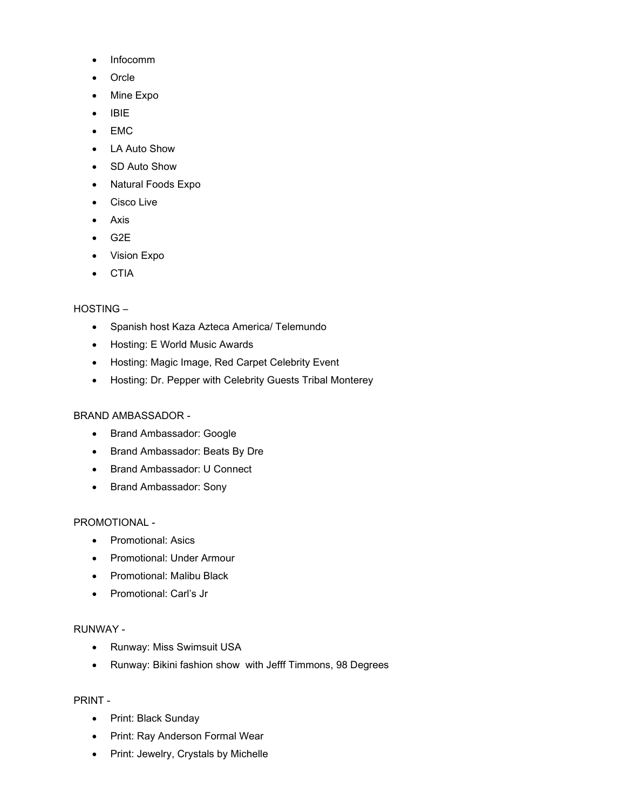- Infocomm
- Orcle
- Mine Expo
- $\bullet$  IBIE
- EMC
- LA Auto Show
- SD Auto Show
- Natural Foods Expo
- Cisco Live
- Axis
- $-$  G2E
- Vision Expo
- CTIA

## HOSTING –

- Spanish host Kaza Azteca America/ Telemundo
- Hosting: E World Music Awards
- Hosting: Magic Image, Red Carpet Celebrity Event
- Hosting: Dr. Pepper with Celebrity Guests Tribal Monterey

#### BRAND AMBASSADOR -

- Brand Ambassador: Google
- Brand Ambassador: Beats By Dre
- Brand Ambassador: U Connect
- Brand Ambassador: Sony

## PROMOTIONAL -

- Promotional: Asics
- Promotional: Under Armour
- Promotional: Malibu Black
- Promotional: Carl's Jr

### RUNWAY -

- Runway: Miss Swimsuit USA
- Runway: Bikini fashion show with Jefff Timmons, 98 Degrees

#### PRINT -

- Print: Black Sunday
- Print: Ray Anderson Formal Wear
- Print: Jewelry, Crystals by Michelle